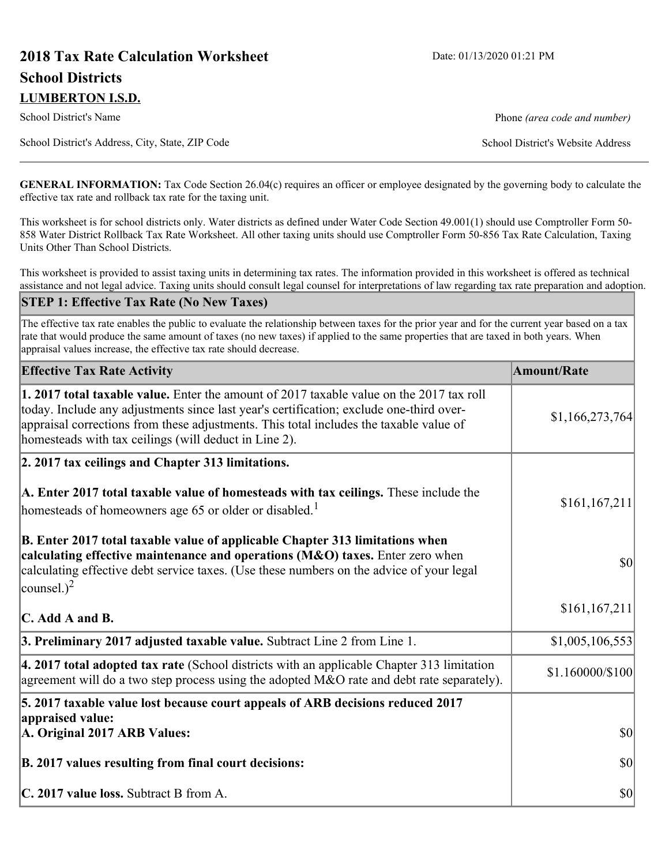# **2018 Tax Rate Calculation Worksheet** Date: 01/13/2020 01:21 PM **School Districts LUMBERTON I.S.D.**

School District's Name **Phone** *(area code and number)* Phone *(area code and number)* 

School District's Address, City, State, ZIP Code School District's Website Address

**GENERAL INFORMATION:** Tax Code Section 26.04(c) requires an officer or employee designated by the governing body to calculate the effective tax rate and rollback tax rate for the taxing unit.

This worksheet is for school districts only. Water districts as defined under Water Code Section 49.001(1) should use Comptroller Form 50- 858 Water District Rollback Tax Rate Worksheet. All other taxing units should use Comptroller Form 50-856 Tax Rate Calculation, Taxing Units Other Than School Districts.

This worksheet is provided to assist taxing units in determining tax rates. The information provided in this worksheet is offered as technical assistance and not legal advice. Taxing units should consult legal counsel for interpretations of law regarding tax rate preparation and adoption.

#### **STEP 1: Effective Tax Rate (No New Taxes)**

The effective tax rate enables the public to evaluate the relationship between taxes for the prior year and for the current year based on a tax rate that would produce the same amount of taxes (no new taxes) if applied to the same properties that are taxed in both years. When appraisal values increase, the effective tax rate should decrease.

| <b>Effective Tax Rate Activity</b>                                                                                                                                                                                                                                                                                                     | <b>Amount/Rate</b> |
|----------------------------------------------------------------------------------------------------------------------------------------------------------------------------------------------------------------------------------------------------------------------------------------------------------------------------------------|--------------------|
| 1. 2017 total taxable value. Enter the amount of 2017 taxable value on the 2017 tax roll<br>today. Include any adjustments since last year's certification; exclude one-third over-<br>appraisal corrections from these adjustments. This total includes the taxable value of<br>homesteads with tax ceilings (will deduct in Line 2). | \$1,166,273,764    |
| 2. 2017 tax ceilings and Chapter 313 limitations.                                                                                                                                                                                                                                                                                      |                    |
| A. Enter 2017 total taxable value of homesteads with tax ceilings. These include the<br>homesteads of homeowners age 65 or older or disabled. <sup>1</sup>                                                                                                                                                                             | \$161, 167, 211    |
| B. Enter 2017 total taxable value of applicable Chapter 313 limitations when<br>calculating effective maintenance and operations (M&O) taxes. Enter zero when<br>calculating effective debt service taxes. (Use these numbers on the advice of your legal<br>counsel.) <sup>2</sup>                                                    | $ 10\rangle$       |
| $\mathbf C$ . Add A and B.                                                                                                                                                                                                                                                                                                             | \$161, 167, 211    |
| 3. Preliminary 2017 adjusted taxable value. Subtract Line 2 from Line 1.                                                                                                                                                                                                                                                               | \$1,005,106,553    |
| $\vert$ 4. 2017 total adopted tax rate (School districts with an applicable Chapter 313 limitation<br>agreement will do a two step process using the adopted M&O rate and debt rate separately).                                                                                                                                       | \$1.160000/\$100   |
| 5. 2017 taxable value lost because court appeals of ARB decisions reduced 2017                                                                                                                                                                                                                                                         |                    |
| appraised value:<br>A. Original 2017 ARB Values:                                                                                                                                                                                                                                                                                       | $ 10\rangle$       |
| B. 2017 values resulting from final court decisions:                                                                                                                                                                                                                                                                                   | $ 10\rangle$       |
| C. 2017 value loss. Subtract B from A.                                                                                                                                                                                                                                                                                                 | $ 10\rangle$       |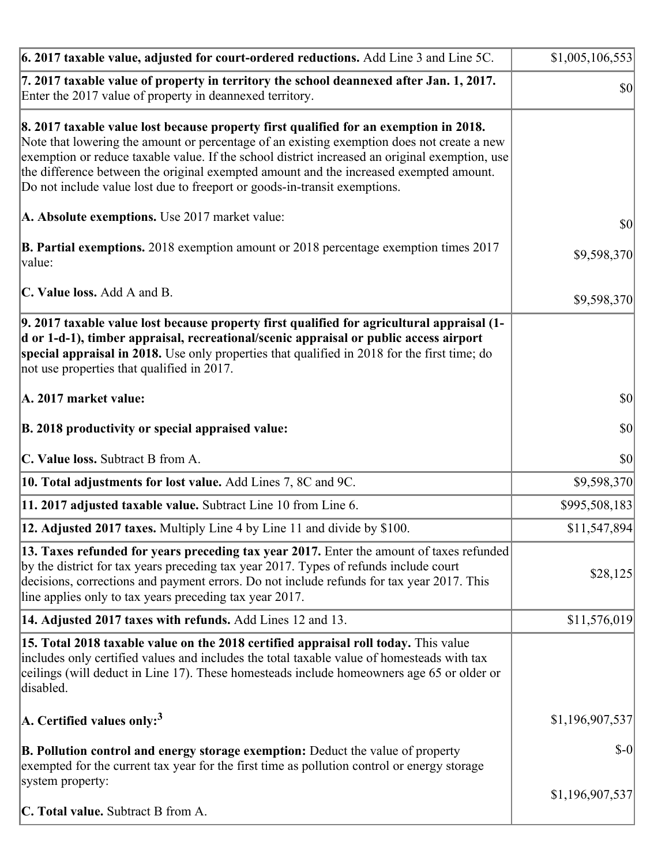| 6. 2017 taxable value, adjusted for court-ordered reductions. Add Line 3 and Line 5C.                                                                                                                                                                                                                                                                                                                                                                        | \$1,005,106,553 |
|--------------------------------------------------------------------------------------------------------------------------------------------------------------------------------------------------------------------------------------------------------------------------------------------------------------------------------------------------------------------------------------------------------------------------------------------------------------|-----------------|
| 7. 2017 taxable value of property in territory the school deannexed after Jan. 1, 2017.<br>Enter the 2017 value of property in deannexed territory.                                                                                                                                                                                                                                                                                                          | $ 10\rangle$    |
| 8. 2017 taxable value lost because property first qualified for an exemption in 2018.<br>Note that lowering the amount or percentage of an existing exemption does not create a new<br>exemption or reduce taxable value. If the school district increased an original exemption, use<br>the difference between the original exempted amount and the increased exempted amount.<br>Do not include value lost due to freeport or goods-in-transit exemptions. |                 |
| A. Absolute exemptions. Use 2017 market value:                                                                                                                                                                                                                                                                                                                                                                                                               | $ 10\rangle$    |
| <b>B. Partial exemptions.</b> 2018 exemption amount or 2018 percentage exemption times 2017<br>$\vert$ value:                                                                                                                                                                                                                                                                                                                                                | \$9,598,370     |
| C. Value loss. Add A and B.                                                                                                                                                                                                                                                                                                                                                                                                                                  | \$9,598,370     |
| 9. 2017 taxable value lost because property first qualified for agricultural appraisal (1-<br>d or 1-d-1), timber appraisal, recreational/scenic appraisal or public access airport<br>special appraisal in 2018. Use only properties that qualified in 2018 for the first time; do<br>not use properties that qualified in 2017.                                                                                                                            |                 |
| A. 2017 market value:                                                                                                                                                                                                                                                                                                                                                                                                                                        | $ 10\rangle$    |
| B. 2018 productivity or special appraised value:                                                                                                                                                                                                                                                                                                                                                                                                             | \$0             |
| C. Value loss. Subtract B from A.                                                                                                                                                                                                                                                                                                                                                                                                                            | \$0             |
| 10. Total adjustments for lost value. Add Lines 7, 8C and 9C.                                                                                                                                                                                                                                                                                                                                                                                                | \$9,598,370     |
| 11. 2017 adjusted taxable value. Subtract Line 10 from Line 6.                                                                                                                                                                                                                                                                                                                                                                                               | \$995,508,183   |
| <b>12. Adjusted 2017 taxes.</b> Multiply Line 4 by Line 11 and divide by \$100.                                                                                                                                                                                                                                                                                                                                                                              | \$11,547,894    |
| [13. Taxes refunded for years preceding tax year 2017. Enter the amount of taxes refunded]<br>by the district for tax years preceding tax year 2017. Types of refunds include court<br>decisions, corrections and payment errors. Do not include refunds for tax year 2017. This<br>line applies only to tax years preceding tax year 2017.                                                                                                                  | \$28,125        |
| 14. Adjusted 2017 taxes with refunds. Add Lines 12 and 13.                                                                                                                                                                                                                                                                                                                                                                                                   | \$11,576,019    |
| <b>15. Total 2018 taxable value on the 2018 certified appraisal roll today.</b> This value<br>includes only certified values and includes the total taxable value of homesteads with tax<br>ceilings (will deduct in Line 17). These homesteads include homeowners age 65 or older or<br>disabled.                                                                                                                                                           |                 |
| A. Certified values only: <sup>3</sup>                                                                                                                                                                                                                                                                                                                                                                                                                       | \$1,196,907,537 |
| <b>B. Pollution control and energy storage exemption:</b> Deduct the value of property<br>exempted for the current tax year for the first time as pollution control or energy storage<br>system property:                                                                                                                                                                                                                                                    | $S-0$           |
| <b>C. Total value.</b> Subtract B from A.                                                                                                                                                                                                                                                                                                                                                                                                                    | \$1,196,907,537 |
|                                                                                                                                                                                                                                                                                                                                                                                                                                                              |                 |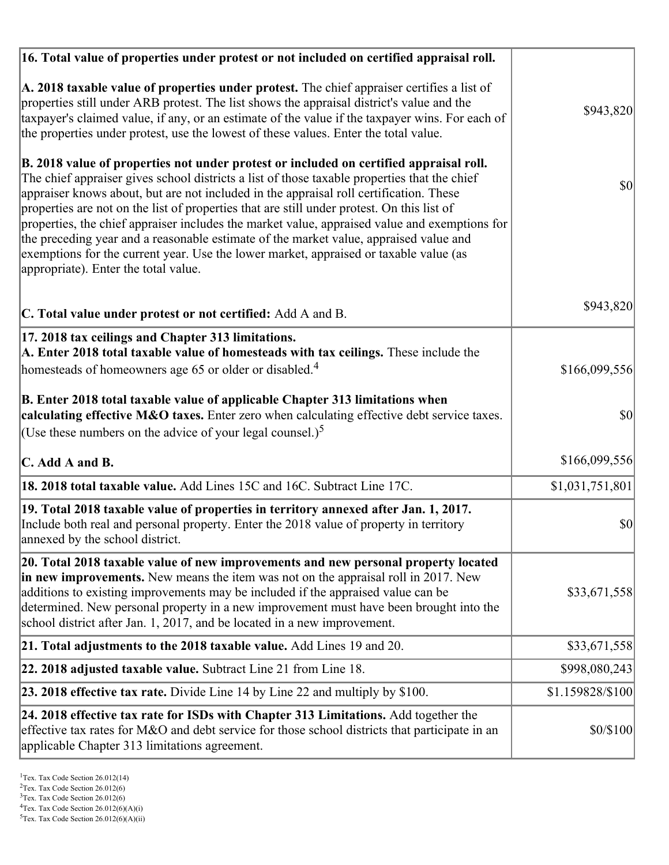| 16. Total value of properties under protest or not included on certified appraisal roll.                                                                                                                                                                                                                                                                                                                                                                                                                                                                                                                                                                                                                  |                  |
|-----------------------------------------------------------------------------------------------------------------------------------------------------------------------------------------------------------------------------------------------------------------------------------------------------------------------------------------------------------------------------------------------------------------------------------------------------------------------------------------------------------------------------------------------------------------------------------------------------------------------------------------------------------------------------------------------------------|------------------|
| A. 2018 taxable value of properties under protest. The chief appraiser certifies a list of<br>properties still under ARB protest. The list shows the appraisal district's value and the<br>taxpayer's claimed value, if any, or an estimate of the value if the taxpayer wins. For each of<br>the properties under protest, use the lowest of these values. Enter the total value.                                                                                                                                                                                                                                                                                                                        | \$943,820        |
| B. 2018 value of properties not under protest or included on certified appraisal roll.<br>The chief appraiser gives school districts a list of those taxable properties that the chief<br>appraiser knows about, but are not included in the appraisal roll certification. These<br>properties are not on the list of properties that are still under protest. On this list of<br>properties, the chief appraiser includes the market value, appraised value and exemptions for<br>the preceding year and a reasonable estimate of the market value, appraised value and<br>exemptions for the current year. Use the lower market, appraised or taxable value (as<br>appropriate). Enter the total value. | $\vert$ \$0      |
| C. Total value under protest or not certified: Add A and B.                                                                                                                                                                                                                                                                                                                                                                                                                                                                                                                                                                                                                                               | \$943,820        |
| 17. 2018 tax ceilings and Chapter 313 limitations.<br>A. Enter 2018 total taxable value of homesteads with tax ceilings. These include the<br>homesteads of homeowners age 65 or older or disabled. <sup>4</sup>                                                                                                                                                                                                                                                                                                                                                                                                                                                                                          | \$166,099,556    |
| B. Enter 2018 total taxable value of applicable Chapter 313 limitations when<br>calculating effective M&O taxes. Enter zero when calculating effective debt service taxes.<br>(Use these numbers on the advice of your legal counsel.) <sup>5</sup>                                                                                                                                                                                                                                                                                                                                                                                                                                                       | \$0              |
| C. Add A and B.                                                                                                                                                                                                                                                                                                                                                                                                                                                                                                                                                                                                                                                                                           | \$166,099,556    |
| 18. 2018 total taxable value. Add Lines 15C and 16C. Subtract Line 17C.                                                                                                                                                                                                                                                                                                                                                                                                                                                                                                                                                                                                                                   | \$1,031,751,801  |
| 19. Total 2018 taxable value of properties in territory annexed after Jan. 1, 2017.<br>Include both real and personal property. Enter the 2018 value of property in territory<br>annexed by the school district.                                                                                                                                                                                                                                                                                                                                                                                                                                                                                          | \$0              |
| 20. Total 2018 taxable value of new improvements and new personal property located<br>in new improvements. New means the item was not on the appraisal roll in 2017. New<br>additions to existing improvements may be included if the appraised value can be<br>determined. New personal property in a new improvement must have been brought into the<br>school district after Jan. 1, 2017, and be located in a new improvement.                                                                                                                                                                                                                                                                        | \$33,671,558     |
| 21. Total adjustments to the 2018 taxable value. Add Lines 19 and 20.                                                                                                                                                                                                                                                                                                                                                                                                                                                                                                                                                                                                                                     | \$33,671,558     |
| <b>22. 2018 adjusted taxable value.</b> Subtract Line 21 from Line 18.                                                                                                                                                                                                                                                                                                                                                                                                                                                                                                                                                                                                                                    | \$998,080,243    |
| 23. 2018 effective tax rate. Divide Line 14 by Line 22 and multiply by \$100.                                                                                                                                                                                                                                                                                                                                                                                                                                                                                                                                                                                                                             | \$1.159828/\$100 |
| 24. 2018 effective tax rate for ISDs with Chapter 313 Limitations. Add together the<br>effective tax rates for M&O and debt service for those school districts that participate in an<br>applicable Chapter 313 limitations agreement.                                                                                                                                                                                                                                                                                                                                                                                                                                                                    | \$0/\$100        |

<sup>&</sup>lt;sup>1</sup>Tex. Tax Code Section 26.012(14)

 $2$ Tex. Tax Code Section 26.012(6)

<sup>&</sup>lt;sup>3</sup>Tex. Tax Code Section 26.012(6)

 ${}^{4}$ Tex. Tax Code Section 26.012(6)(A)(i)

 $5$ Tex. Tax Code Section 26.012(6)(A)(ii)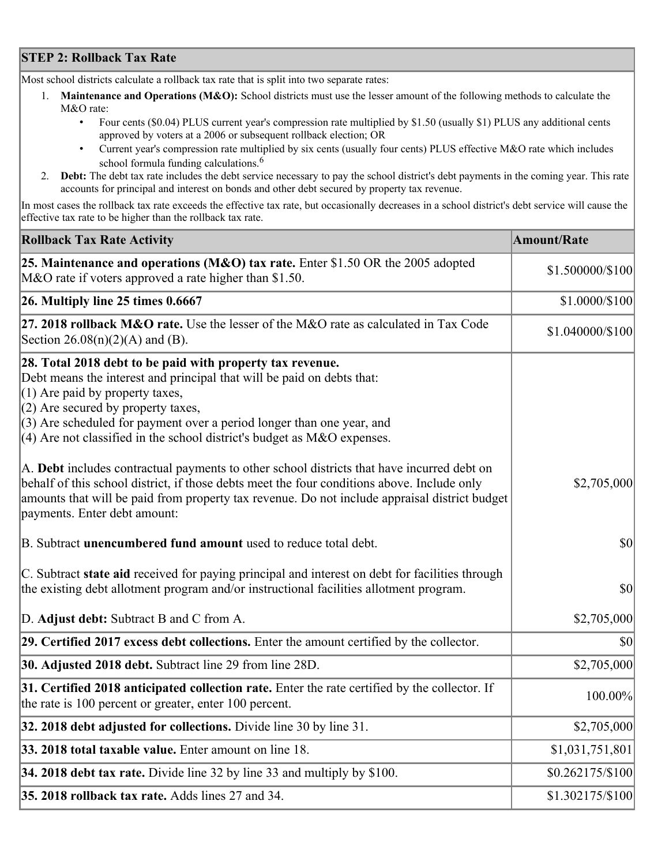## **STEP 2: Rollback Tax Rate**

Most school districts calculate a rollback tax rate that is split into two separate rates:

- 1. **Maintenance and Operations (M&O):** School districts must use the lesser amount of the following methods to calculate the M&O rate:
	- Four cents (\$0.04) PLUS current year's compression rate multiplied by \$1.50 (usually \$1) PLUS any additional cents approved by voters at a 2006 or subsequent rollback election; OR
	- Current year's compression rate multiplied by six cents (usually four cents) PLUS effective M&O rate which includes school formula funding calculations.<sup>6</sup>
- 2. **Debt:** The debt tax rate includes the debt service necessary to pay the school district's debt payments in the coming year. This rate accounts for principal and interest on bonds and other debt secured by property tax revenue.

In most cases the rollback tax rate exceeds the effective tax rate, but occasionally decreases in a school district's debt service will cause the effective tax rate to be higher than the rollback tax rate.

| <b>Rollback Tax Rate Activity</b>                                                                                                                                                                                                                                                                                                                                        | <b>Amount/Rate</b> |
|--------------------------------------------------------------------------------------------------------------------------------------------------------------------------------------------------------------------------------------------------------------------------------------------------------------------------------------------------------------------------|--------------------|
| 25. Maintenance and operations (M&O) tax rate. Enter \$1.50 OR the 2005 adopted<br>M&O rate if voters approved a rate higher than \$1.50.                                                                                                                                                                                                                                | \$1.500000/\$100   |
| $26.$ Multiply line 25 times $0.6667$                                                                                                                                                                                                                                                                                                                                    | \$1.0000/\$100     |
| 27. 2018 rollback $M&O$ rate. Use the lesser of the M&O rate as calculated in Tax Code<br>Section $26.08(n)(2)(A)$ and (B).                                                                                                                                                                                                                                              | \$1.040000/\$100   |
| 28. Total 2018 debt to be paid with property tax revenue.<br>Debt means the interest and principal that will be paid on debts that:<br>$(1)$ Are paid by property taxes,<br>$(2)$ Are secured by property taxes,<br>$(3)$ Are scheduled for payment over a period longer than one year, and<br>$(4)$ Are not classified in the school district's budget as M&O expenses. |                    |
| A. Debt includes contractual payments to other school districts that have incurred debt on<br>behalf of this school district, if those debts meet the four conditions above. Include only<br>amounts that will be paid from property tax revenue. Do not include appraisal district budget<br>payments. Enter debt amount:                                               | \$2,705,000        |
| B. Subtract unencumbered fund amount used to reduce total debt.                                                                                                                                                                                                                                                                                                          | \$0                |
| C. Subtract state aid received for paying principal and interest on debt for facilities through<br>the existing debt allotment program and/or instructional facilities allotment program.                                                                                                                                                                                | $ 10\rangle$       |
| D. Adjust debt: Subtract B and C from A.                                                                                                                                                                                                                                                                                                                                 | \$2,705,000        |
| 29. Certified 2017 excess debt collections. Enter the amount certified by the collector.                                                                                                                                                                                                                                                                                 | $ 10\rangle$       |
| 30. Adjusted 2018 debt. Subtract line 29 from line 28D.                                                                                                                                                                                                                                                                                                                  | \$2,705,000        |
| 31. Certified 2018 anticipated collection rate. Enter the rate certified by the collector. If<br>the rate is 100 percent or greater, enter 100 percent.                                                                                                                                                                                                                  | 100.00%            |
| 32. 2018 debt adjusted for collections. Divide line 30 by line 31.                                                                                                                                                                                                                                                                                                       | \$2,705,000        |
| 33. 2018 total taxable value. Enter amount on line 18.                                                                                                                                                                                                                                                                                                                   | \$1,031,751,801    |
| 34. 2018 debt tax rate. Divide line 32 by line 33 and multiply by \$100.                                                                                                                                                                                                                                                                                                 | \$0.262175/\$100   |
| 35. 2018 rollback tax rate. Adds lines 27 and 34.                                                                                                                                                                                                                                                                                                                        | \$1.302175/\$100   |